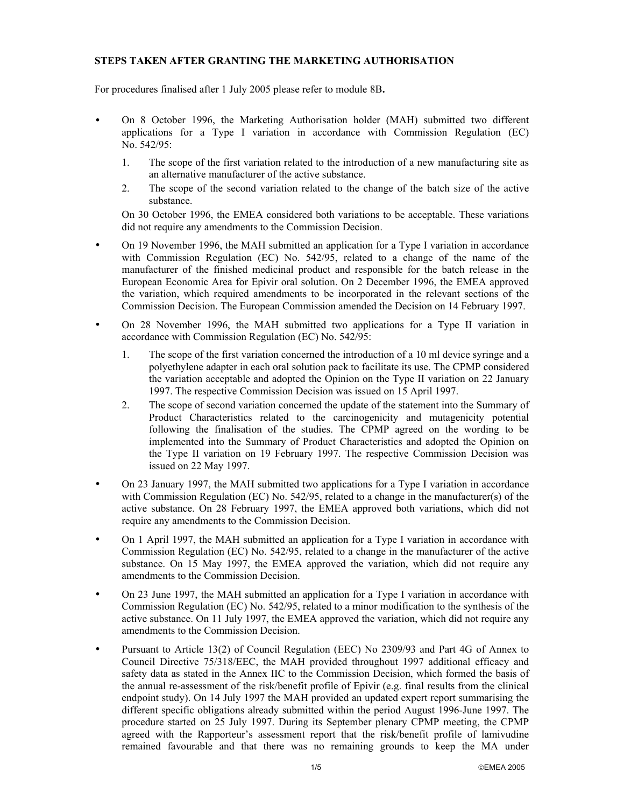## **STEPS TAKEN AFTER GRANTING THE MARKETING AUTHORISATION**

For procedures finalised after 1 July 2005 please refer to module 8B**.**

- On 8 October 1996, the Marketing Authorisation holder (MAH) submitted two different applications for a Type I variation in accordance with Commission Regulation (EC) No. 542/95:
	- 1. The scope of the first variation related to the introduction of a new manufacturing site as an alternative manufacturer of the active substance.
	- 2. The scope of the second variation related to the change of the batch size of the active substance.

On 30 October 1996, the EMEA considered both variations to be acceptable. These variations did not require any amendments to the Commission Decision.

- On 19 November 1996, the MAH submitted an application for a Type I variation in accordance with Commission Regulation (EC) No. 542/95, related to a change of the name of the manufacturer of the finished medicinal product and responsible for the batch release in the European Economic Area for Epivir oral solution. On 2 December 1996, the EMEA approved the variation, which required amendments to be incorporated in the relevant sections of the Commission Decision. The European Commission amended the Decision on 14 February 1997.
- On 28 November 1996, the MAH submitted two applications for a Type II variation in accordance with Commission Regulation (EC) No. 542/95:
	- 1. The scope of the first variation concerned the introduction of a 10 ml device syringe and a polyethylene adapter in each oral solution pack to facilitate its use. The CPMP considered the variation acceptable and adopted the Opinion on the Type II variation on 22 January 1997. The respective Commission Decision was issued on 15 April 1997.
	- 2. The scope of second variation concerned the update of the statement into the Summary of Product Characteristics related to the carcinogenicity and mutagenicity potential following the finalisation of the studies. The CPMP agreed on the wording to be implemented into the Summary of Product Characteristics and adopted the Opinion on the Type II variation on 19 February 1997. The respective Commission Decision was issued on 22 May 1997.
- On 23 January 1997, the MAH submitted two applications for a Type I variation in accordance with Commission Regulation (EC) No.  $542/95$ , related to a change in the manufacturer(s) of the active substance. On 28 February 1997, the EMEA approved both variations, which did not require any amendments to the Commission Decision.
- On 1 April 1997, the MAH submitted an application for a Type I variation in accordance with Commission Regulation (EC) No. 542/95, related to a change in the manufacturer of the active substance. On 15 May 1997, the EMEA approved the variation, which did not require any amendments to the Commission Decision.
- On 23 June 1997, the MAH submitted an application for a Type I variation in accordance with Commission Regulation (EC) No. 542/95, related to a minor modification to the synthesis of the active substance. On 11 July 1997, the EMEA approved the variation, which did not require any amendments to the Commission Decision.
- Pursuant to Article 13(2) of Council Regulation (EEC) No 2309/93 and Part 4G of Annex to Council Directive 75/318/EEC, the MAH provided throughout 1997 additional efficacy and safety data as stated in the Annex IIC to the Commission Decision, which formed the basis of the annual re-assessment of the risk/benefit profile of Epivir (e.g. final results from the clinical endpoint study). On 14 July 1997 the MAH provided an updated expert report summarising the different specific obligations already submitted within the period August 1996-June 1997. The procedure started on 25 July 1997. During its September plenary CPMP meeting, the CPMP agreed with the Rapporteur's assessment report that the risk/benefit profile of lamivudine remained favourable and that there was no remaining grounds to keep the MA under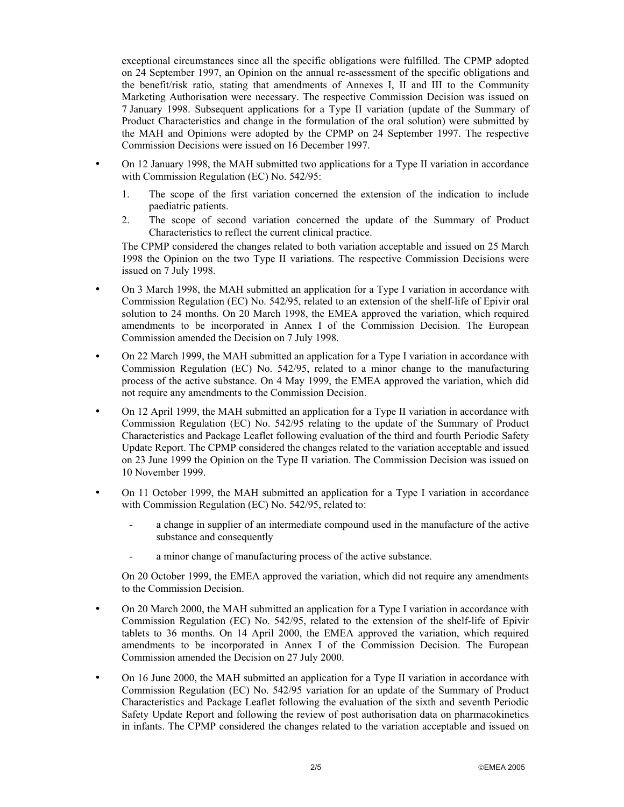exceptional circumstances since all the specific obligations were fulfilled. The CPMP adopted on 24 September 1997, an Opinion on the annual re-assessment of the specific obligations and the benefit/risk ratio, stating that amendments of Annexes I, II and III to the Community Marketing Authorisation were necessary. The respective Commission Decision was issued on 7 January 1998. Subsequent applications for a Type II variation (update of the Summary of Product Characteristics and change in the formulation of the oral solution) were submitted by the MAH and Opinions were adopted by the CPMP on 24 September 1997. The respective Commission Decisions were issued on 16 December 1997.

- On 12 January 1998, the MAH submitted two applications for a Type II variation in accordance with Commission Regulation (EC) No. 542/95:
	- 1. The scope of the first variation concerned the extension of the indication to include paediatric patients.
	- 2. The scope of second variation concerned the update of the Summary of Product Characteristics to reflect the current clinical practice.

The CPMP considered the changes related to both variation acceptable and issued on 25 March 1998 the Opinion on the two Type II variations. The respective Commission Decisions were issued on 7 July 1998.

- On 3 March 1998, the MAH submitted an application for a Type I variation in accordance with Commission Regulation (EC) No. 542/95, related to an extension of the shelf-life of Epivir oral solution to 24 months. On 20 March 1998, the EMEA approved the variation, which required amendments to be incorporated in Annex I of the Commission Decision. The European Commission amended the Decision on 7 July 1998.
- On 22 March 1999, the MAH submitted an application for a Type I variation in accordance with Commission Regulation (EC) No. 542/95, related to a minor change to the manufacturing process of the active substance. On 4 May 1999, the EMEA approved the variation, which did not require any amendments to the Commission Decision.
- On 12 April 1999, the MAH submitted an application for a Type II variation in accordance with Commission Regulation (EC) No. 542/95 relating to the update of the Summary of Product Characteristics and Package Leaflet following evaluation of the third and fourth Periodic Safety Update Report. The CPMP considered the changes related to the variation acceptable and issued on 23 June 1999 the Opinion on the Type II variation. The Commission Decision was issued on 10 November 1999.
- On 11 October 1999, the MAH submitted an application for a Type I variation in accordance with Commission Regulation (EC) No. 542/95, related to:
	- a change in supplier of an intermediate compound used in the manufacture of the active substance and consequently
	- a minor change of manufacturing process of the active substance.

On 20 October 1999, the EMEA approved the variation, which did not require any amendments to the Commission Decision.

- On 20 March 2000, the MAH submitted an application for a Type I variation in accordance with Commission Regulation (EC) No. 542/95, related to the extension of the shelf-life of Epivir tablets to 36 months. On 14 April 2000, the EMEA approved the variation, which required amendments to be incorporated in Annex I of the Commission Decision. The European Commission amended the Decision on 27 July 2000.
- On 16 June 2000, the MAH submitted an application for a Type II variation in accordance with Commission Regulation (EC) No. 542/95 variation for an update of the Summary of Product Characteristics and Package Leaflet following the evaluation of the sixth and seventh Periodic Safety Update Report and following the review of post authorisation data on pharmacokinetics in infants. The CPMP considered the changes related to the variation acceptable and issued on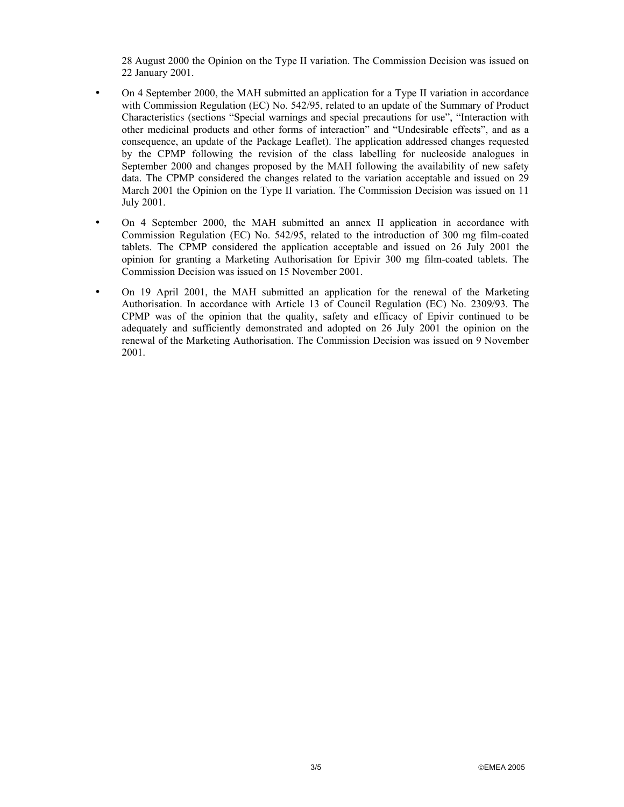28 August 2000 the Opinion on the Type II variation. The Commission Decision was issued on 22 January 2001.

- On 4 September 2000, the MAH submitted an application for a Type II variation in accordance with Commission Regulation (EC) No. 542/95, related to an update of the Summary of Product Characteristics (sections "Special warnings and special precautions for use", "Interaction with other medicinal products and other forms of interaction" and "Undesirable effects", and as a consequence, an update of the Package Leaflet). The application addressed changes requested by the CPMP following the revision of the class labelling for nucleoside analogues in September 2000 and changes proposed by the MAH following the availability of new safety data. The CPMP considered the changes related to the variation acceptable and issued on 29 March 2001 the Opinion on the Type II variation. The Commission Decision was issued on 11 July 2001.
- On 4 September 2000, the MAH submitted an annex II application in accordance with Commission Regulation (EC) No. 542/95, related to the introduction of 300 mg film-coated tablets. The CPMP considered the application acceptable and issued on 26 July 2001 the opinion for granting a Marketing Authorisation for Epivir 300 mg film-coated tablets. The Commission Decision was issued on 15 November 2001.
- On 19 April 2001, the MAH submitted an application for the renewal of the Marketing Authorisation. In accordance with Article 13 of Council Regulation (EC) No. 2309/93. The CPMP was of the opinion that the quality, safety and efficacy of Epivir continued to be adequately and sufficiently demonstrated and adopted on 26 July 2001 the opinion on the renewal of the Marketing Authorisation. The Commission Decision was issued on 9 November 2001.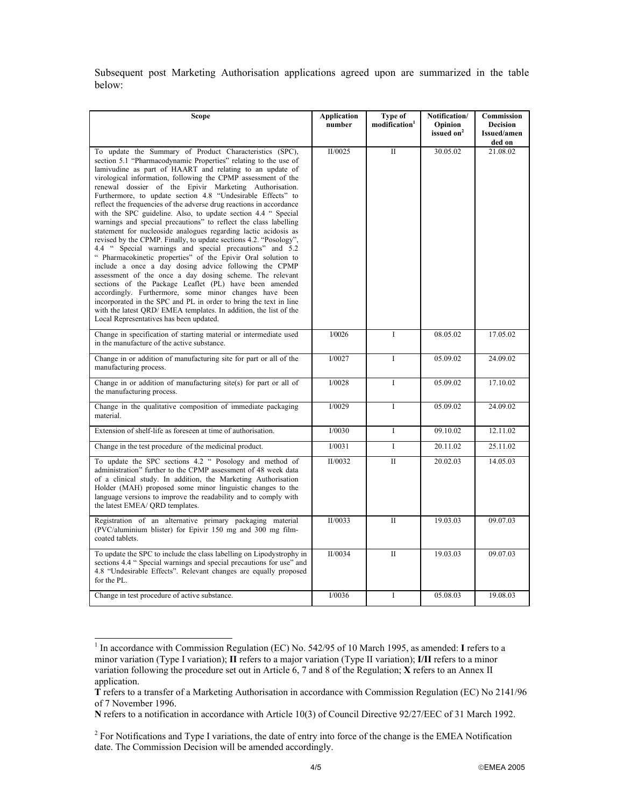Subsequent post Marketing Authorisation applications agreed upon are summarized in the table below:

| Scope                                                                                                                                                                                                                                                                                                                                                                                                                                                                                                                                                                                                                                                                                                                                                                                                                                                                                                                                                                                                                                                                                                                                                                                                                                                                                         | <b>Application</b><br>number | Type of<br>modification <sup>1</sup> | Notification/<br>Opinion<br>issued on <sup>2</sup> | Commission<br><b>Decision</b><br>Issued/amen<br>ded on |
|-----------------------------------------------------------------------------------------------------------------------------------------------------------------------------------------------------------------------------------------------------------------------------------------------------------------------------------------------------------------------------------------------------------------------------------------------------------------------------------------------------------------------------------------------------------------------------------------------------------------------------------------------------------------------------------------------------------------------------------------------------------------------------------------------------------------------------------------------------------------------------------------------------------------------------------------------------------------------------------------------------------------------------------------------------------------------------------------------------------------------------------------------------------------------------------------------------------------------------------------------------------------------------------------------|------------------------------|--------------------------------------|----------------------------------------------------|--------------------------------------------------------|
| To update the Summary of Product Characteristics (SPC),<br>section 5.1 "Pharmacodynamic Properties" relating to the use of<br>lamivudine as part of HAART and relating to an update of<br>virological information, following the CPMP assessment of the<br>renewal dossier of the Epivir Marketing Authorisation.<br>Furthermore, to update section 4.8 "Undesirable Effects" to<br>reflect the frequencies of the adverse drug reactions in accordance<br>with the SPC guideline. Also, to update section 4.4 " Special<br>warnings and special precautions" to reflect the class labelling<br>statement for nucleoside analogues regarding lactic acidosis as<br>revised by the CPMP. Finally, to update sections 4.2. "Posology",<br>4.4 " Special warnings and special precautions" and 5.2<br>" Pharmacokinetic properties" of the Epivir Oral solution to<br>include a once a day dosing advice following the CPMP<br>assessment of the once a day dosing scheme. The relevant<br>sections of the Package Leaflet (PL) have been amended<br>accordingly. Furthermore, some minor changes have been<br>incorporated in the SPC and PL in order to bring the text in line<br>with the latest QRD/ EMEA templates. In addition, the list of the<br>Local Representatives has been updated. | II/0025                      | $\mathbf{H}$                         | 30.05.02                                           | 21.08.02                                               |
| Change in specification of starting material or intermediate used<br>in the manufacture of the active substance.                                                                                                                                                                                                                                                                                                                                                                                                                                                                                                                                                                                                                                                                                                                                                                                                                                                                                                                                                                                                                                                                                                                                                                              | I/0026                       | I                                    | 08.05.02                                           | 17.05.02                                               |
| Change in or addition of manufacturing site for part or all of the<br>manufacturing process.                                                                                                                                                                                                                                                                                                                                                                                                                                                                                                                                                                                                                                                                                                                                                                                                                                                                                                                                                                                                                                                                                                                                                                                                  | I/0027                       | L                                    | 05.09.02                                           | 24.09.02                                               |
| Change in or addition of manufacturing site(s) for part or all of<br>the manufacturing process.                                                                                                                                                                                                                                                                                                                                                                                                                                                                                                                                                                                                                                                                                                                                                                                                                                                                                                                                                                                                                                                                                                                                                                                               | I/0028                       | Ι                                    | 05.09.02                                           | 17.10.02                                               |
| Change in the qualitative composition of immediate packaging<br>material.                                                                                                                                                                                                                                                                                                                                                                                                                                                                                                                                                                                                                                                                                                                                                                                                                                                                                                                                                                                                                                                                                                                                                                                                                     | I/0029                       | I                                    | 05.09.02                                           | 24.09.02                                               |
| Extension of shelf-life as foreseen at time of authorisation.                                                                                                                                                                                                                                                                                                                                                                                                                                                                                                                                                                                                                                                                                                                                                                                                                                                                                                                                                                                                                                                                                                                                                                                                                                 | I/0030                       | $\mathbf I$                          | 09.10.02                                           | 12.11.02                                               |
| Change in the test procedure of the medicinal product.                                                                                                                                                                                                                                                                                                                                                                                                                                                                                                                                                                                                                                                                                                                                                                                                                                                                                                                                                                                                                                                                                                                                                                                                                                        | I/0031                       | Ι                                    | 20.11.02                                           | 25.11.02                                               |
| To update the SPC sections 4.2 " Posology and method of<br>administration" further to the CPMP assessment of 48 week data<br>of a clinical study. In addition, the Marketing Authorisation<br>Holder (MAH) proposed some minor linguistic changes to the<br>language versions to improve the readability and to comply with<br>the latest EMEA/ QRD templates.                                                                                                                                                                                                                                                                                                                                                                                                                                                                                                                                                                                                                                                                                                                                                                                                                                                                                                                                | $\overline{II/0032}$         | $\overline{\mathbf{u}}$              | 20.02.03                                           | 14.05.03                                               |
| Registration of an alternative primary packaging material<br>(PVC/aluminium blister) for Epivir 150 mg and 300 mg film-<br>coated tablets.                                                                                                                                                                                                                                                                                                                                                                                                                                                                                                                                                                                                                                                                                                                                                                                                                                                                                                                                                                                                                                                                                                                                                    | II/0033                      | $\mathbf{I}$                         | 19.03.03                                           | 09.07.03                                               |
| To update the SPC to include the class labelling on Lipodystrophy in<br>sections 4.4 " Special warnings and special precautions for use" and<br>4.8 "Undesirable Effects". Relevant changes are equally proposed<br>for the PL.                                                                                                                                                                                                                                                                                                                                                                                                                                                                                                                                                                                                                                                                                                                                                                                                                                                                                                                                                                                                                                                               | II/0034                      | $\mathbf{I}$                         | 19.03.03                                           | 09.07.03                                               |
| Change in test procedure of active substance.                                                                                                                                                                                                                                                                                                                                                                                                                                                                                                                                                                                                                                                                                                                                                                                                                                                                                                                                                                                                                                                                                                                                                                                                                                                 | I/0036                       | I                                    | 05.08.03                                           | 19.08.03                                               |

<sup>&</sup>lt;sup>1</sup> In accordance with Commission Regulation (EC) No. 542/95 of 10 March 1995, as amended: **I** refers to a minor variation (Type I variation); **II** refers to a major variation (Type II variation); **I/II** refers to a minor variation following the procedure set out in Article 6, 7 and 8 of the Regulation; **X** refers to an Annex II application.

l

**T** refers to a transfer of a Marketing Authorisation in accordance with Commission Regulation (EC) No 2141/96 of 7 November 1996.

**N** refers to a notification in accordance with Article 10(3) of Council Directive 92/27/EEC of 31 March 1992.

 $2^2$  For Notifications and Type I variations, the date of entry into force of the change is the EMEA Notification date. The Commission Decision will be amended accordingly.